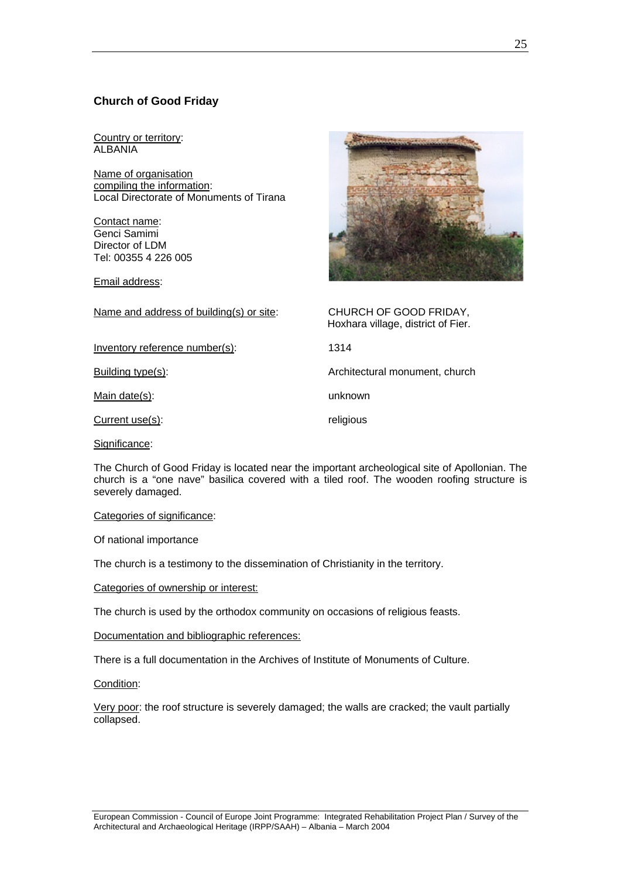# **Church of Good Friday**

Country or territory: ALBANIA

Name of organisation compiling the information: Local Directorate of Monuments of Tirana

Contact name: Genci Samimi Director of LDM Tel: 00355 4 226 005

Email address:



| Name and address of building(s) or site: | CHURCH OF GOOD FRIDAY,<br>Hoxhara village, district of Fier. |
|------------------------------------------|--------------------------------------------------------------|
| Inventory reference number(s):           | 1314                                                         |
| Building type(s):                        | Architectural monument, church                               |
| Main date(s):                            | unknown                                                      |
| Current use(s):                          | religious                                                    |
| Significance:                            |                                                              |
|                                          |                                                              |

The Church of Good Friday is located near the important archeological site of Apollonian. The church is a "one nave" basilica covered with a tiled roof. The wooden roofing structure is severely damaged.

Categories of significance:

Of national importance

The church is a testimony to the dissemination of Christianity in the territory.

Categories of ownership or interest:

The church is used by the orthodox community on occasions of religious feasts.

Documentation and bibliographic references:

There is a full documentation in the Archives of Institute of Monuments of Culture.

Condition:

Very poor: the roof structure is severely damaged; the walls are cracked; the vault partially collapsed.